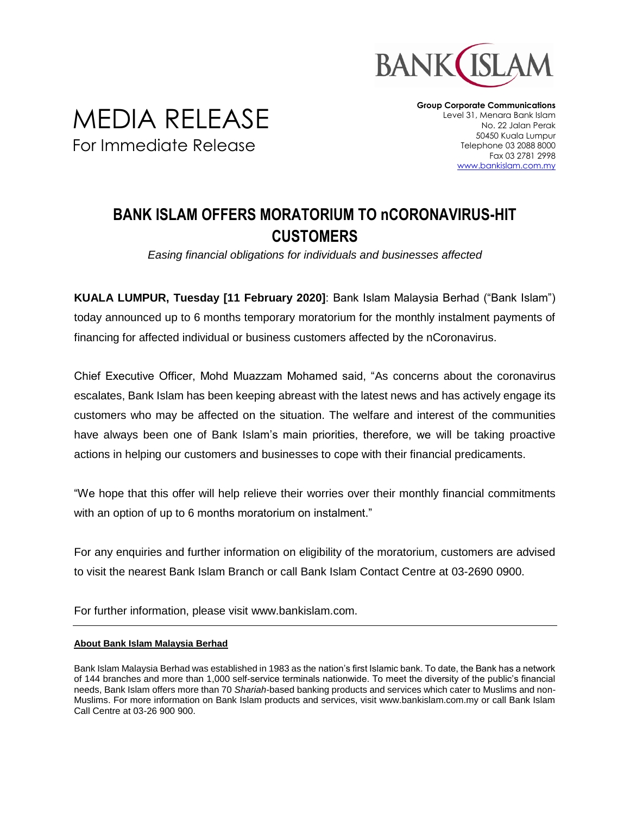

## MEDIA RELEASE For Immediate Release

**Group Corporate Communications** Level 31, Menara Bank Islam No. 22 Jalan Perak 50450 Kuala Lumpur Telephone 03 2088 8000 Fax 03 2781 2998 [www.bankislam.com.my](http://www.bankislam.com.my/)

## **BANK ISLAM OFFERS MORATORIUM TO nCORONAVIRUS-HIT CUSTOMERS**

*Easing financial obligations for individuals and businesses affected*

**KUALA LUMPUR, Tuesday [11 February 2020]**: Bank Islam Malaysia Berhad ("Bank Islam") today announced up to 6 months temporary moratorium for the monthly instalment payments of financing for affected individual or business customers affected by the nCoronavirus.

Chief Executive Officer, Mohd Muazzam Mohamed said, "As concerns about the coronavirus escalates, Bank Islam has been keeping abreast with the latest news and has actively engage its customers who may be affected on the situation. The welfare and interest of the communities have always been one of Bank Islam's main priorities, therefore, we will be taking proactive actions in helping our customers and businesses to cope with their financial predicaments.

"We hope that this offer will help relieve their worries over their monthly financial commitments with an option of up to 6 months moratorium on instalment."

For any enquiries and further information on eligibility of the moratorium, customers are advised to visit the nearest Bank Islam Branch or call Bank Islam Contact Centre at 03-2690 0900.

For further information, please visit www.bankislam.com.

## **About Bank Islam Malaysia Berhad**

Bank Islam Malaysia Berhad was established in 1983 as the nation's first Islamic bank. To date, the Bank has a network of 144 branches and more than 1,000 self-service terminals nationwide. To meet the diversity of the public's financial needs, Bank Islam offers more than 70 *Shariah*-based banking products and services which cater to Muslims and non-Muslims. For more information on Bank Islam products and services, visit www.bankislam.com.my or call Bank Islam Call Centre at 03-26 900 900.